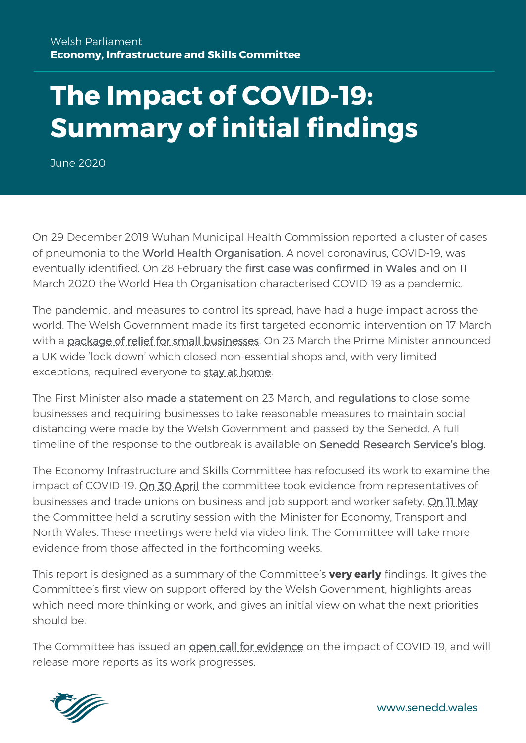# **The Impact of COVID-19: Summary of initial findings**

June 2020

On 29 December 2019 Wuhan Municipal Health Commission reported a cluster of cases of pneumonia to the [World Health Organisation.](https://www.who.int/news-room/detail/27-04-2020-who-timeline---covid-19) A novel coronavirus, COVID-19, was eventually identified. On 28 February the [first case was confirmed in Wales](https://www.bbc.co.uk/news/uk-51673068) and on 11 March 2020 the World Health Organisation characterised COVID-19 as a pandemic.

The pandemic, and measures to control its spread, have had a huge impact across the world. The Welsh Government made its first targeted economic intervention on 17 March with a [package of relief for small businesses.](https://www.gov.wales/emergency-support-businesses-hit-coronavirus) On 23 March the Prime Minister announced a UK wide 'lock down' which closed non-essential shops and, with very limited exceptions, required everyone to [stay at home.](https://www.gov.uk/government/speeches/pm-address-to-the-nation-on-coronavirus-23-march-2020)

The First Minister also [made a statement](https://gov.wales/first-minister-of-wales-statement-on-new-coronavirus-measures) on 23 March, and [regulations](https://gov.wales/coronavirus-legislation-and-guidance-law) to close some businesses and requiring businesses to take reasonable measures to maintain social distancing were made by the Welsh Government and passed by the Senedd. A full timeline of the response to the outbreak is available on [Senedd Research S](https://seneddresearch.blog/2020/03/19/covid-19-timeline-welsh-and-uk-governments-response/)ervice's blog.

The Economy Infrastructure and Skills Committee has refocused its work to examine the impact of COVID-19. [On 30 April](https://business.senedd.wales/ieListDocuments.aspx?CId=446&MId=6112) the committee took evidence from representatives of businesses and trade unions on business and job support and worker safety. [On 11 May](https://business.senedd.wales/ieListDocuments.aspx?CId=446&MId=6117) the Committee held a scrutiny session with the Minister for Economy, Transport and North Wales. These meetings were held via video link. The Committee will take more evidence from those affected in the forthcoming weeks.

This report is designed as a summary of the Committee's **very early** findings. It gives the Committee's first view on support offered by the Welsh Government, highlights areas which need more thinking or work, and gives an initial view on what the next priorities should be.

The Committee has issued an [open call for evidence](https://business.senedd.wales/mgConsultationDisplay.aspx?id=398&RPID=1017949834&cp=yes) on the impact of COVID-19, and will release more reports as its work progresses.



www.senedd.wales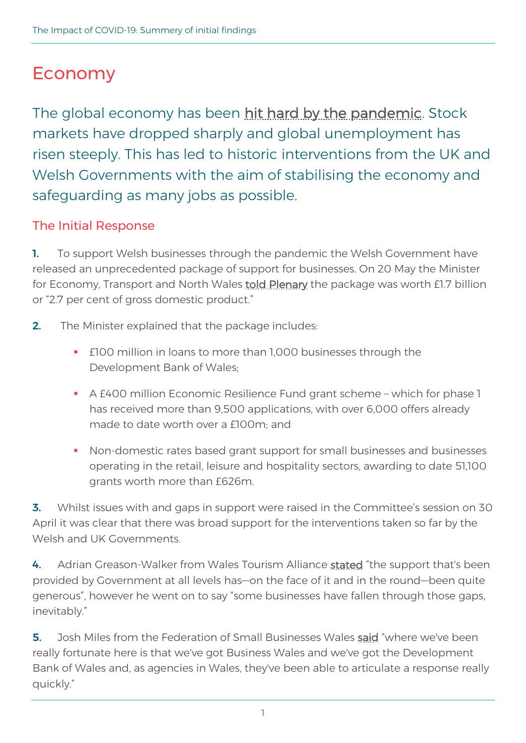# Economy

The global economy has been [hit hard by the pandemic.](https://www.bbc.co.uk/news/business-51706225) Stock markets have dropped sharply and global unemployment has risen steeply. This has led to historic interventions from the UK and Welsh Governments with the aim of stabilising the economy and safeguarding as many jobs as possible.

# The Initial Response

1. To support Welsh businesses through the pandemic the Welsh Government have released an unprecedented package of support for businesses. On 20 May the Minister for Economy, Transport and North Wales [told Plenary](https://record.assembly.wales/Plenary/6327#A58011) the package was worth £1.7 billion or "2.7 per cent of gross domestic product."

- 2. The Minister explained that the package includes:
	- **E100 million in loans to more than 1,000 businesses through the** Development Bank of Wales;
	- A £400 million Economic Resilience Fund grant scheme which for phase 1 has received more than 9,500 applications, with over 6,000 offers already made to date worth over a £100m; and
	- Non-domestic rates based grant support for small businesses and businesses operating in the retail, leisure and hospitality sectors, awarding to date 51,100 grants worth more than £626m.

**3.** Whilst issues with and gaps in support were raised in the Committee's session on 30 April it was clear that there was broad support for the interventions taken so far by the Welsh and UK Governments.

4. Adrian Greason-Walker from Wales Tourism Alliance [stated](https://record.assembly.wales/Committee/6112#C286563) "the support that's been provided by Government at all levels has—on the face of it and in the round—been quite generous", however he went on to say "some businesses have fallen through those gaps, inevitably."

5. Josh Miles from the Federation of Small Businesses Wales [said](https://record.assembly.wales/Committee/6112#C286656) "where we've been really fortunate here is that we've got Business Wales and we've got the Development Bank of Wales and, as agencies in Wales, they've been able to articulate a response really quickly."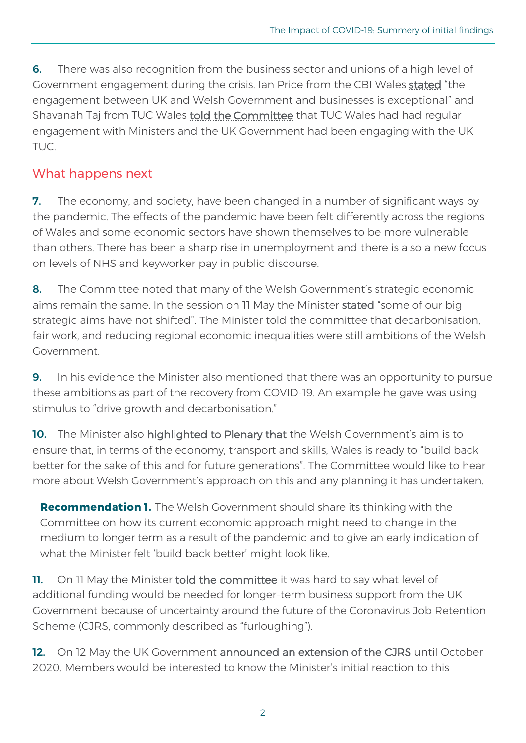**6.** There was also recognition from the business sector and unions of a high level of Government engagement during the crisis. Ian Price from the CBI Wales [stated](https://record.assembly.wales/Committee/6112#C286649) "the engagement between UK and Welsh Government and businesses is exceptional" and Shavanah Taj from TUC Wales [told the Committee](https://record.assembly.wales/Committee/6112#C286631) that TUC Wales had had regular engagement with Ministers and the UK Government had been engaging with the UK TUC.

### What happens next

**7.** The economy, and society, have been changed in a number of significant ways by the pandemic. The effects of the pandemic have been felt differently across the regions of Wales and some economic sectors have shown themselves to be more vulnerable than others. There has been a sharp rise in unemployment and there is also a new focus on levels of NHS and keyworker pay in public discourse.

8. The Committee noted that many of the Welsh Government's strategic economic aims remain the same. In the session on 11 May the Minister [stated](https://record.assembly.wales/Committee/6117#C288124) "some of our big strategic aims have not shifted". The Minister told the committee that decarbonisation, fair work, and reducing regional economic inequalities were still ambitions of the Welsh Government.

**9.** In his evidence the Minister also mentioned that there was an opportunity to pursue these ambitions as part of the recovery from COVID-19. An example he gave was using stimulus to "drive growth and decarbonisation."

10. The Minister also [highlighted to Plenary that](https://record.assembly.wales/Plenary/6327#A58011) the Welsh Government's aim is to ensure that, in terms of the economy, transport and skills, Wales is ready to "build back better for the sake of this and for future generations". The Committee would like to hear more about Welsh Government's approach on this and any planning it has undertaken.

**Recommendation 1.** The Welsh Government should share its thinking with the Committee on how its current economic approach might need to change in the medium to longer term as a result of the pandemic and to give an early indication of what the Minister felt 'build back better' might look like.

11. On 11 May the Minister [told the committee](https://record.assembly.wales/Committee/6117#C288001) it was hard to say what level of additional funding would be needed for longer-term business support from the UK Government because of uncertainty around the future of the Coronavirus Job Retention Scheme (CJRS, commonly described as "furloughing").

12. On 12 May the UK Government [announced an extension of the CJRS](https://www.gov.uk/government/news/chancellor-extends-furlough-scheme-until-october) until October 2020. Members would be interested to know the Minister's initial reaction to this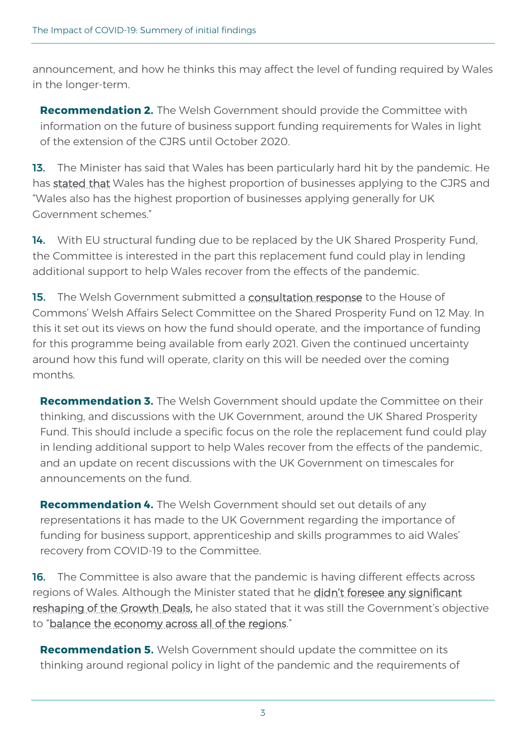announcement, and how he thinks this may affect the level of funding required by Wales in the longer-term.

**Recommendation 2.** The Welsh Government should provide the Committee with information on the future of business support funding requirements for Wales in light of the extension of the CJRS until October 2020.

13. The Minister has said that Wales has been particularly hard hit by the pandemic. He has [stated that](https://www.business-live.co.uk/economic-development/wales-high-percentage-firms-receipt-18246323) Wales has the highest proportion of businesses applying to the CJRS and "Wales also has the highest proportion of businesses applying generally for UK Government schemes."

14. With EU structural funding due to be replaced by the UK Shared Prosperity Fund, the Committee is interested in the part this replacement fund could play in lending additional support to help Wales recover from the effects of the pandemic.

15. The Welsh Government submitted a [consultation response](https://committees.parliament.uk/writtenevidence/2643/html/) to the House of Commons' Welsh Affairs Select Committee on the Shared Prosperity Fund on 12 May. In this it set out its views on how the fund should operate, and the importance of funding for this programme being available from early 2021. Given the continued uncertainty around how this fund will operate, clarity on this will be needed over the coming months.

**Recommendation 3.** The Welsh Government should update the Committee on their thinking, and discussions with the UK Government, around the UK Shared Prosperity Fund. This should include a specific focus on the role the replacement fund could play in lending additional support to help Wales recover from the effects of the pandemic, and an update on recent discussions with the UK Government on timescales for announcements on the fund.

**Recommendation 4.** The Welsh Government should set out details of any representations it has made to the UK Government regarding the importance of funding for business support, apprenticeship and skills programmes to aid Wales' recovery from COVID-19 to the Committee.

**16.** The Committee is also aware that the pandemic is having different effects across regions of Wales. Although the Minister stated that he didn't foresee any significant [reshaping of the Growth Deals,](https://record.assembly.wales/Committee/6117#C288137) he also stated that it was still the Government's objective to "[balance the economy across all of the regions](https://record.assembly.wales/Committee/6117#C288124)."

**Recommendation 5.** Welsh Government should update the committee on its thinking around regional policy in light of the pandemic and the requirements of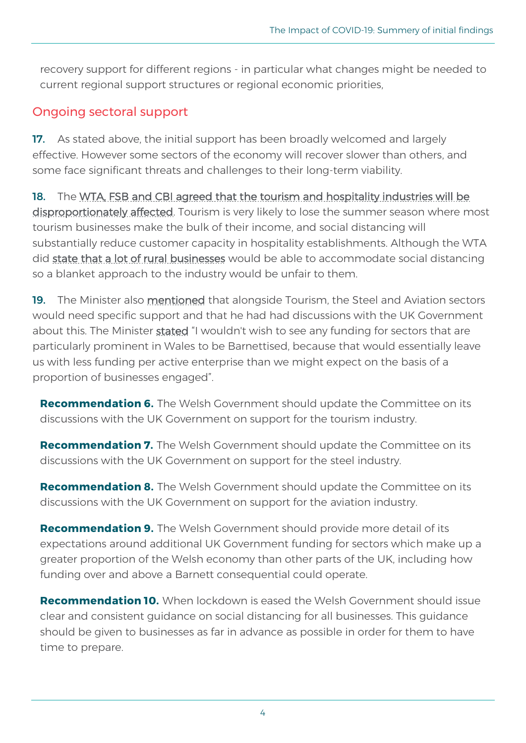recovery support for different regions - in particular what changes might be needed to current regional support structures or regional economic priorities,

### Ongoing sectoral support

17. As stated above, the initial support has been broadly welcomed and largely effective. However some sectors of the economy will recover slower than others, and some face significant threats and challenges to their long-term viability.

18. The WTA, FSB and CBI agreed that the tourism and hospitality industries will be [disproportionately affected.](https://record.assembly.wales/Committee/6112#C286601) Tourism is very likely to lose the summer season where most tourism businesses make the bulk of their income, and social distancing will substantially reduce customer capacity in hospitality establishments. Although the WTA did [state that a lot of rural businesses](https://record.assembly.wales/Committee/6112#C286607) would be able to accommodate social distancing so a blanket approach to the industry would be unfair to them.

19. The Minister also [mentioned](https://record.assembly.wales/Committee/6117#C287990) that alongside Tourism, the Steel and Aviation sectors would need specific support and that he had had discussions with the UK Government about this. The Minister [stated](https://record.assembly.wales/Committee/6117#C288024) "I wouldn't wish to see any funding for sectors that are particularly prominent in Wales to be Barnettised, because that would essentially leave us with less funding per active enterprise than we might expect on the basis of a proportion of businesses engaged".

**Recommendation 6.** The Welsh Government should update the Committee on its discussions with the UK Government on support for the tourism industry.

**Recommendation 7.** The Welsh Government should update the Committee on its discussions with the UK Government on support for the steel industry.

**Recommendation 8.** The Welsh Government should update the Committee on its discussions with the UK Government on support for the aviation industry.

**Recommendation 9.** The Welsh Government should provide more detail of its expectations around additional UK Government funding for sectors which make up a greater proportion of the Welsh economy than other parts of the UK, including how funding over and above a Barnett consequential could operate.

**Recommendation 10.** When lockdown is eased the Welsh Government should issue clear and consistent guidance on social distancing for all businesses. This guidance should be given to businesses as far in advance as possible in order for them to have time to prepare.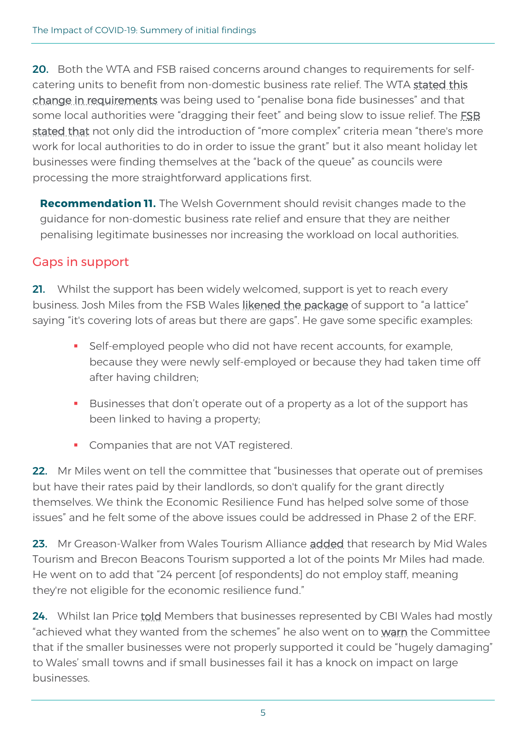**20.** Both the WTA and FSB raised concerns around changes to requirements for selfcatering units to benefit from non-domestic business rate relief. The WTA [stated this](https://record.assembly.wales/Committee/6112#C286701)  [change in requirements](https://record.assembly.wales/Committee/6112#C286701) was being used to "penalise bona fide businesses" and that some local authorities were "dragging their feet" and being slow to issue relief. The FSB [stated that](https://record.assembly.wales/Committee/6112#C286718) not only did the introduction of "more complex" criteria mean "there's more work for local authorities to do in order to issue the grant" but it also meant holiday let businesses were finding themselves at the "back of the queue" as councils were processing the more straightforward applications first.

**Recommendation 11.** The Welsh Government should revisit changes made to the guidance for non-domestic business rate relief and ensure that they are neither penalising legitimate businesses nor increasing the workload on local authorities.

# Gaps in support

21. Whilst the support has been widely welcomed, support is yet to reach every business. Josh Miles from the FSB Wales [likened the package](https://record.assembly.wales/Committee/6112#C286552) of support to "a lattice" saying "it's covering lots of areas but there are gaps". He gave some specific examples:

- Self-employed people who did not have recent accounts, for example, because they were newly self-employed or because they had taken time off after having children;
- Businesses that don't operate out of a property as a lot of the support has been linked to having a property;
- **Companies that are not VAT registered.**

22. Mr Miles went on tell the committee that "businesses that operate out of premises but have their rates paid by their landlords, so don't qualify for the grant directly themselves. We think the Economic Resilience Fund has helped solve some of those issues" and he felt some of the above issues could be addressed in Phase 2 of the ERF.

23. Mr Greason-Walker from Wales Tourism Alliance [added](https://record.assembly.wales/Committee/6112#C286712) that research by Mid Wales Tourism and Brecon Beacons Tourism supported a lot of the points Mr Miles had made. He went on to add that "24 percent [of respondents] do not employ staff, meaning they're not eligible for the economic resilience fund."

24. Whilst Ian Price [told](https://record.assembly.wales/Committee/6112#C286750) Members that businesses represented by CBI Wales had mostly "achieved what they wanted from the schemes" he also went on to [warn](https://record.assembly.wales/Committee/6112#C286726) the Committee that if the smaller businesses were not properly supported it could be "hugely damaging" to Wales' small towns and if small businesses fail it has a knock on impact on large businesses.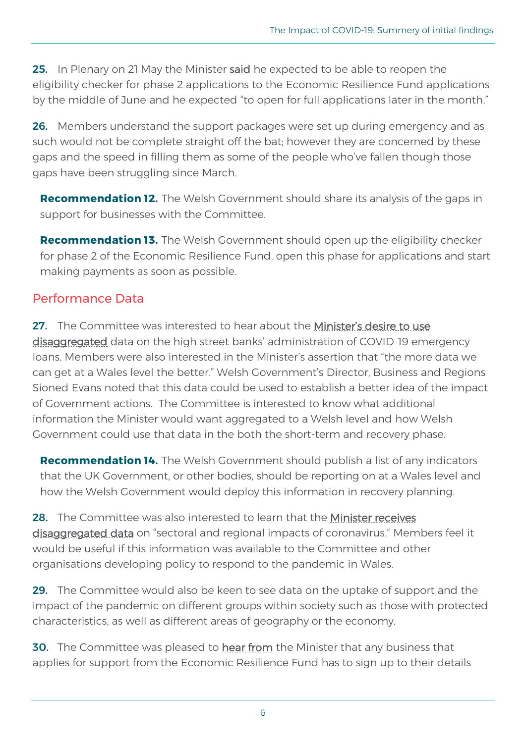**25.** In Plenary on 21 May the Minister [said](https://record.assembly.wales/Plenary/6327#A58011) he expected to be able to reopen the eligibility checker for phase 2 applications to the Economic Resilience Fund applications by the middle of June and he expected "to open for full applications later in the month."

26. Members understand the support packages were set up during emergency and as such would not be complete straight off the bat; however they are concerned by these gaps and the speed in filling them as some of the people who've fallen though those gaps have been struggling since March.

**Recommendation 12.** The Welsh Government should share its analysis of the gaps in support for businesses with the Committee.

**Recommendation 13.** The Welsh Government should open up the eligibility checker for phase 2 of the Economic Resilience Fund, open this phase for applications and start making payments as soon as possible.

#### Performance Data

27. The Committee was interested to hear about the Minister's desire to use [disaggregated](https://record.assembly.wales/Committee/6117#C288104) data on the high street banks' administration of COVID-19 emergency loans. Members were also interested in the Minister's assertion that "the more data we can get at a Wales level the better." Welsh Government's Director, Business and Regions Sioned Evans noted that this data could be used to establish a better idea of the impact of Government actions. The Committee is interested to know what additional information the Minister would want aggregated to a Welsh level and how Welsh Government could use that data in the both the short-term and recovery phase.

**Recommendation 14.** The Welsh Government should publish a list of any indicators that the UK Government, or other bodies, should be reporting on at a Wales level and how the Welsh Government would deploy this information in recovery planning.

28. The Committee was also interested to learn that the Minister receives [disaggregated data](https://record.assembly.wales/Committee/6117#C288165) on "sectoral and regional impacts of coronavirus." Members feel it would be useful if this information was available to the Committee and other organisations developing policy to respond to the pandemic in Wales.

29. The Committee would also be keen to see data on the uptake of support and the impact of the pandemic on different groups within society such as those with protected characteristics, as well as different areas of geography or the economy.

**30.** The Committee was pleased to **[hear from](https://record.assembly.wales/Committee/6117#C288128)** the Minister that any business that applies for support from the Economic Resilience Fund has to sign up to their details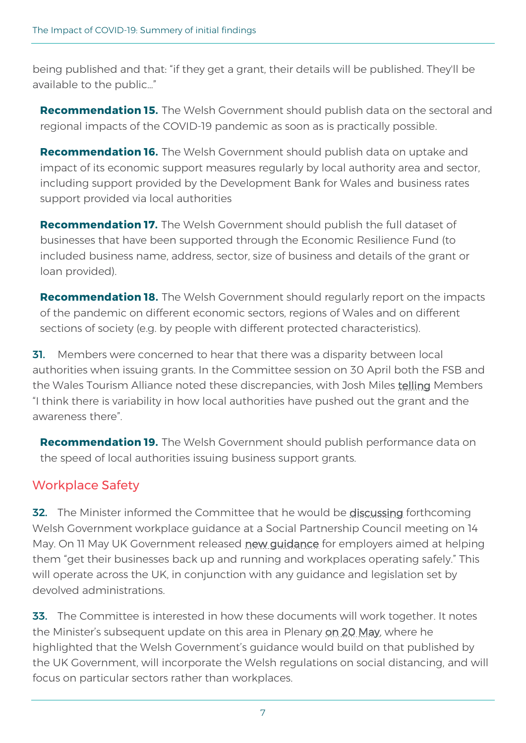being published and that: "if they get a grant, their details will be published. They'll be available to the public…"

**Recommendation 15.** The Welsh Government should publish data on the sectoral and regional impacts of the COVID-19 pandemic as soon as is practically possible.

**Recommendation 16.** The Welsh Government should publish data on uptake and impact of its economic support measures regularly by local authority area and sector, including support provided by the Development Bank for Wales and business rates support provided via local authorities

**Recommendation 17.** The Welsh Government should publish the full dataset of businesses that have been supported through the Economic Resilience Fund (to included business name, address, sector, size of business and details of the grant or loan provided).

**Recommendation 18.** The Welsh Government should regularly report on the impacts of the pandemic on different economic sectors, regions of Wales and on different sections of society (e.g. by people with different protected characteristics).

**31.** Members were concerned to hear that there was a disparity between local authorities when issuing grants. In the Committee session on 30 April both the FSB and the Wales Tourism Alliance noted these discrepancies, with Josh Miles [telling](https://record.assembly.wales/Committee/6112#C286540) Members "I think there is variability in how local authorities have pushed out the grant and the awareness there".

**Recommendation 19.** The Welsh Government should publish performance data on the speed of local authorities issuing business support grants.

# Workplace Safety

**32.** The Minister informed the Committee that he would be [discussing](https://record.assembly.wales/Committee/6117#C288156) forthcoming Welsh Government workplace guidance at a Social Partnership Council meeting on 14 May. On 11 May UK Government released [new guidance](https://www.gov.uk/government/news/new-guidance-launched-to-help-get-brits-safely-back-to-work) for employers aimed at helping them "get their businesses back up and running and workplaces operating safely." This will operate across the UK, in conjunction with any guidance and legislation set by devolved administrations.

33. The Committee is interested in how these documents will work together. It notes the Minister's subsequent update on this area in Plenary [on 20 May,](https://record.assembly.wales/Plenary/6327#A58011) where he highlighted that the Welsh Government's guidance would build on that published by the UK Government, will incorporate the Welsh regulations on social distancing, and will focus on particular sectors rather than workplaces.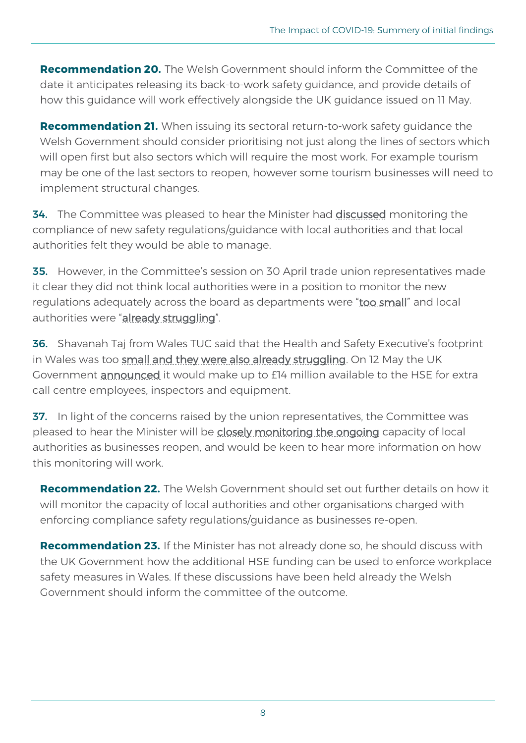**Recommendation 20.** The Welsh Government should inform the Committee of the date it anticipates releasing its back-to-work safety guidance, and provide details of how this guidance will work effectively alongside the UK guidance issued on 11 May.

**Recommendation 21.** When issuing its sectoral return-to-work safety quidance the Welsh Government should consider prioritising not just along the lines of sectors which will open first but also sectors which will require the most work. For example tourism may be one of the last sectors to reopen, however some tourism businesses will need to implement structural changes.

**34.** The Committee was pleased to hear the Minister had **discussed** monitoring the compliance of new safety regulations/guidance with local authorities and that local authorities felt they would be able to manage.

35. However, in the Committee's session on 30 April trade union representatives made it clear they did not think local authorities were in a position to monitor the new regulations adequately across the board as departments were "[too small](https://record.assembly.wales/Committee/6112#C286853)" and local authorities were "[already struggling](https://record.assembly.wales/Committee/6112#C286857)".

36. Shavanah Taj from Wales TUC said that the Health and Safety Executive's footprint in Wales was too [small and they were also already struggling.](https://record.assembly.wales/Committee/6112#C286857) On 12 May the UK Government **announced** it would make up to £14 million available to the HSE for extra call centre employees, inspectors and equipment.

**37.** In light of the concerns raised by the union representatives, the Committee was pleased to hear the Minister will be [closely monitoring the ongoing](https://record.assembly.wales/Committee/6117#C288048) capacity of local authorities as businesses reopen, and would be keen to hear more information on how this monitoring will work.

**Recommendation 22.** The Welsh Government should set out further details on how it will monitor the capacity of local authorities and other organisations charged with enforcing compliance safety regulations/guidance as businesses re-open.

**Recommendation 23.** If the Minister has not already done so, he should discuss with the UK Government how the additional HSE funding can be used to enforce workplace safety measures in Wales. If these discussions have been held already the Welsh Government should inform the committee of the outcome.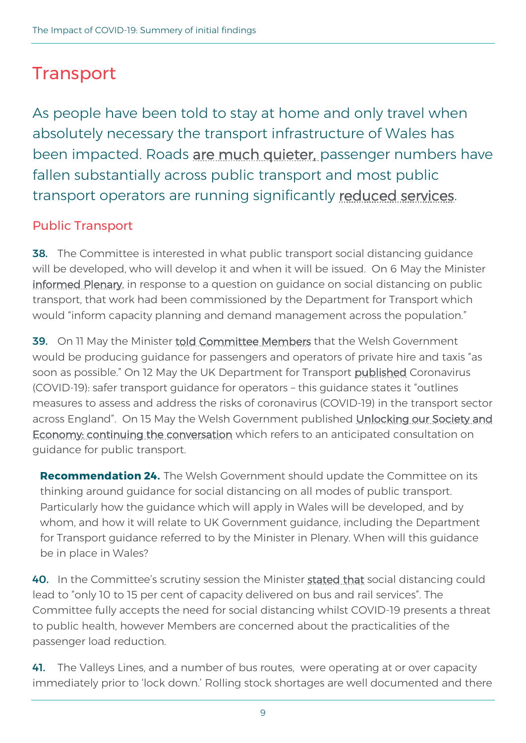# **Transport**

As people have been told to stay at home and only travel when absolutely necessary the transport infrastructure of Wales has been impacted. Roads [are much quieter,](https://www.bbc.co.uk/news/uk-52461913) passenger numbers have fallen substantially across public transport and most public transport operators are running significantly [reduced services.](https://www.itv.com/news/wales/2020-03-23/public-transport-services-cut-in-wales-due-to-coronavirus/)

# Public Transport

**38.** The Committee is interested in what public transport social distancing guidance will be developed, who will develop it and when it will be issued. On 6 May the Minister [informed Plenary,](https://record.assembly.wales/Plenary/6318#C287281) in response to a question on quidance on social distancing on public transport, that work had been commissioned by the Department for Transport which would "inform capacity planning and demand management across the population."

**39.** On 11 May the Minister [told Committee Members](https://record.assembly.wales/Committee/6117#C288107) that the Welsh Government would be producing guidance for passengers and operators of private hire and taxis "as soon as possible." On 12 May the UK Department for Transport [published](https://www.gov.uk/government/publications/coronavirus-covid-19-safer-transport-guidance-for-operators/coronavirus-covid-19-safer-transport-guidance-for-operators) Coronavirus (COVID-19): safer transport guidance for operators – this guidance states it "outlines measures to assess and address the risks of coronavirus (COVID-19) in the transport sector across England". On 15 May the Welsh Government published Unlocking our Society and [Economy: continuing the conversation](https://gov.wales/unlocking-our-society-and-economy-continuing-conversation) which refers to an anticipated consultation on guidance for public transport.

**Recommendation 24.** The Welsh Government should update the Committee on its thinking around guidance for social distancing on all modes of public transport. Particularly how the guidance which will apply in Wales will be developed, and by whom, and how it will relate to UK Government guidance, including the Department for Transport guidance referred to by the Minister in Plenary. When will this guidance be in place in Wales?

40. In the Committee's scrutiny session the Minister [stated that](https://record.assembly.wales/Committee/6117#C288093) social distancing could lead to "only 10 to 15 per cent of capacity delivered on bus and rail services". The Committee fully accepts the need for social distancing whilst COVID-19 presents a threat to public health, however Members are concerned about the practicalities of the passenger load reduction.

41. The Valleys Lines, and a number of bus routes, were operating at or over capacity immediately prior to 'lock down.' Rolling stock shortages are well documented and there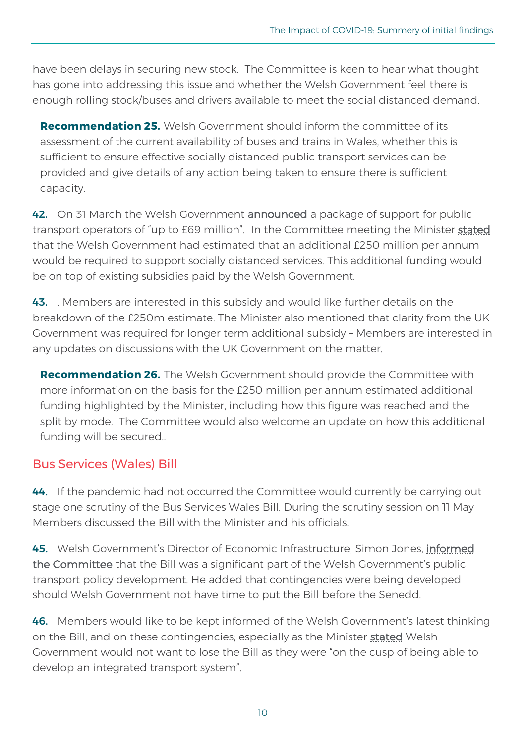have been delays in securing new stock. The Committee is keen to hear what thought has gone into addressing this issue and whether the Welsh Government feel there is enough rolling stock/buses and drivers available to meet the social distanced demand.

**Recommendation 25.** Welsh Government should inform the committee of its assessment of the current availability of buses and trains in Wales, whether this is sufficient to ensure effective socially distanced public transport services can be provided and give details of any action being taken to ensure there is sufficient capacity.

42. On 31 March the Welsh Government [announced](https://gov.wales/nhs-staff-get-free-travel-part-69m-hardship-fund-deal-public-transport) a package of support for public transport operators of "up to £69 million". In the Committee meeting the Minister [stated](https://record.assembly.wales/Committee/6117#C288201) that the Welsh Government had estimated that an additional £250 million per annum would be required to support socially distanced services. This additional funding would be on top of existing subsidies paid by the Welsh Government.

43. Hembers are interested in this subsidy and would like further details on the breakdown of the £250m estimate. The Minister also mentioned that clarity from the UK Government was required for longer term additional subsidy – Members are interested in any updates on discussions with the UK Government on the matter.

**Recommendation 26.** The Welsh Government should provide the Committee with more information on the basis for the £250 million per annum estimated additional funding highlighted by the Minister, including how this figure was reached and the split by mode. The Committee would also welcome an update on how this additional funding will be secured..

#### Bus Services (Wales) Bill

44. If the pandemic had not occurred the Committee would currently be carrying out stage one scrutiny of the Bus Services Wales Bill. During the scrutiny session on 11 May Members discussed the Bill with the Minister and his officials.

45. Welsh Government's Director of Economic Infrastructure, Simon Jones, [informed](https://record.assembly.wales/Committee/6117#C288208)  [the Committee](https://record.assembly.wales/Committee/6117#C288208) that the Bill was a significant part of the Welsh Government's public transport policy development. He added that contingencies were being developed should Welsh Government not have time to put the Bill before the Senedd.

46. Members would like to be kept informed of the Welsh Government's latest thinking on the Bill, and on these contingencies; especially as the Minister [stated](https://record.assembly.wales/Committee/6117#C288168) Welsh Government would not want to lose the Bill as they were "on the cusp of being able to develop an integrated transport system".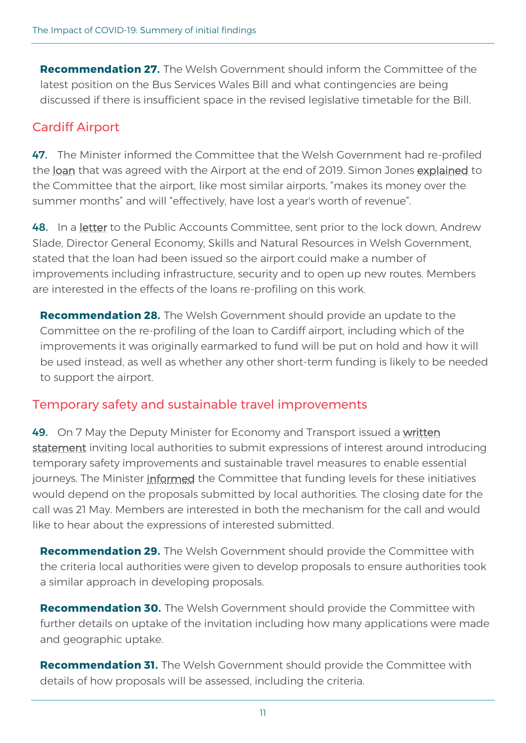**Recommendation 27.** The Welsh Government should inform the Committee of the latest position on the Bus Services Wales Bill and what contingencies are being discussed if there is insufficient space in the revised legislative timetable for the Bill.

### Cardiff Airport

47. The Minister informed the Committee that the Welsh Government had re-profiled the [loan](https://www.bbc.co.uk/news/uk-wales-politics-51666497) that was agreed with the Airport at the end of 2019. Simon Jones [explained](https://record.assembly.wales/Committee/6117#C288153) to the Committee that the airport, like most similar airports, "makes its money over the summer months" and will "effectively, have lost a year's worth of revenue".

48. In a [letter](https://business.senedd.wales/documents/s99260/PAC5-08-20%20PTN2%20-%20Cardiff%20Airport.pdf) to the Public Accounts Committee, sent prior to the lock down, Andrew Slade, Director General Economy, Skills and Natural Resources in Welsh Government, stated that the loan had been issued so the airport could make a number of improvements including infrastructure, security and to open up new routes. Members are interested in the effects of the loans re-profiling on this work.

**Recommendation 28.** The Welsh Government should provide an update to the Committee on the re-profiling of the loan to Cardiff airport, including which of the improvements it was originally earmarked to fund will be put on hold and how it will be used instead, as well as whether any other short-term funding is likely to be needed to support the airport.

# Temporary safety and sustainable travel improvements

49. On 7 May the Deputy Minister for Economy and Transport issued a written [statement](https://gov.wales/written-statement-funding-local-sustainable-transport-measures-response-covid-19) inviting local authorities to submit expressions of interest around introducing temporary safety improvements and sustainable travel measures to enable essential journeys. The Minister [informed](https://record.assembly.wales/Committee/6117#C288214) the Committee that funding levels for these initiatives would depend on the proposals submitted by local authorities. The closing date for the call was 21 May. Members are interested in both the mechanism for the call and would like to hear about the expressions of interested submitted.

**Recommendation 29.** The Welsh Government should provide the Committee with the criteria local authorities were given to develop proposals to ensure authorities took a similar approach in developing proposals.

**Recommendation 30.** The Welsh Government should provide the Committee with further details on uptake of the invitation including how many applications were made and geographic uptake.

**Recommendation 31.** The Welsh Government should provide the Committee with details of how proposals will be assessed, including the criteria.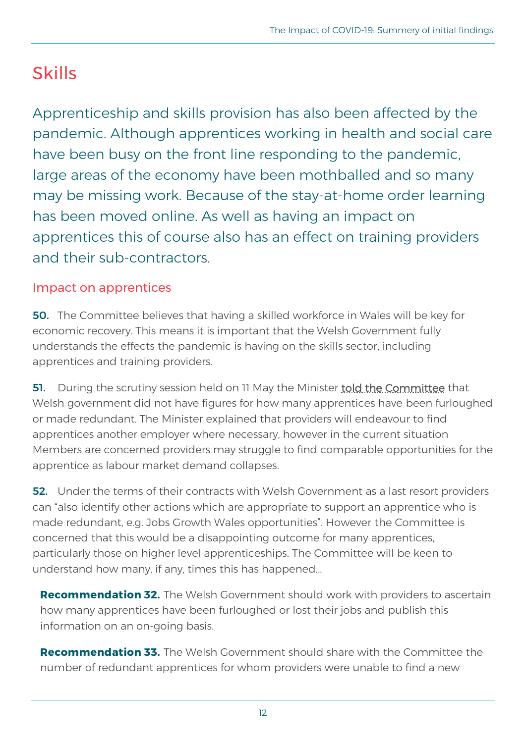# Skills

Apprenticeship and skills provision has also been affected by the pandemic. Although apprentices working in health and social care have been busy on the front line responding to the pandemic, large areas of the economy have been mothballed and so many may be missing work. Because of the stay-at-home order learning has been moved online. As well as having an impact on apprentices this of course also has an effect on training providers and their sub-contractors.

### Impact on apprentices

50. The Committee believes that having a skilled workforce in Wales will be key for economic recovery. This means it is important that the Welsh Government fully understands the effects the pandemic is having on the skills sector, including apprentices and training providers.

**51.** During the scrutiny session held on 11 May the Minister [told the Committee](https://record.assembly.wales/Committee/6117#C288059) that Welsh government did not have figures for how many apprentices have been furloughed or made redundant. The Minister explained that providers will endeavour to find apprentices another employer where necessary, however in the current situation Members are concerned providers may struggle to find comparable opportunities for the apprentice as labour market demand collapses.

**52.** Under the terms of their contracts with Welsh Government as a last resort providers can "also identify other actions which are appropriate to support an apprentice who is made redundant, e.g. Jobs Growth Wales opportunities". However the Committee is concerned that this would be a disappointing outcome for many apprentices, particularly those on higher level apprenticeships. The Committee will be keen to understand how many, if any, times this has happened...

**Recommendation 32.** The Welsh Government should work with providers to ascertain how many apprentices have been furloughed or lost their jobs and publish this information on an on-going basis.

**Recommendation 33.** The Welsh Government should share with the Committee the number of redundant apprentices for whom providers were unable to find a new